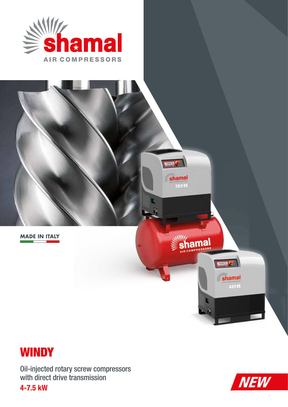





Oil-injected rotary screw compressors with direct drive transmission

4-7.5 kW

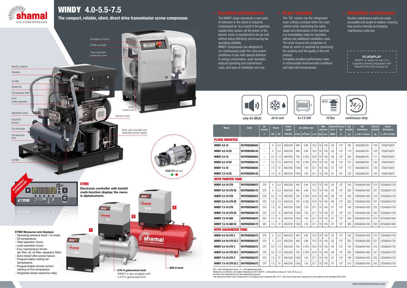

# WINDY 4.0-5.5-7.5

| Model                 | Code                 | Air<br>receiver          | Power<br><b>Power</b><br>supply |           | Air outflow rate |         |             | Max.<br>pressure |    | Sound<br>level | <b>Connec-</b><br>tion | <b>Net</b><br>weight | <b>Net</b><br>dimensions | <b>Gross</b><br>weight | <b>Gross</b><br>dimensions |                            |
|-----------------------|----------------------|--------------------------|---------------------------------|-----------|------------------|---------|-------------|------------------|----|----------------|------------------------|----------------------|--------------------------|------------------------|----------------------------|----------------------------|
|                       |                      |                          | kW                              | <b>HP</b> | V/Ph/Hz          | I./min. | $m^3$ /min. | c.f.m.           |    | $bar$   p.s.i  | dB(A)                  | Ø                    | kg                       | L x W x H (mm)         | kg                         | $L \times W \times H$ (mm) |
| <b>FLOOR MOUNTED</b>  |                      |                          |                                 |           |                  |         |             |                  |    |                |                        |                      |                          |                        |                            |                            |
| WINDY 4.0-10          | V51PD92SHA043        | $\qquad \qquad -$        | 4                               | 5.5       | 400/3/50         | 460     | 0.46        | 16.2             | 10 | 145            | 63                     | $1/2$ "              | 98                       | 650x580x750            | 109                        | 720x670x970                |
| WINDY 4.0-10 ES       | V51PD92SHA143        | $\qquad \qquad -$        | 4                               | 5.5       | 400/3/50         | 460     | 0.46        | 16.2             | 10 | 145            | 63                     | 1/2"                 | 119                      | 650x580x750            | 130                        | 720x670x970                |
| WINDY 5.5-10          | <b>V51PE92SHA043</b> | $\qquad \qquad -$        | 5.5                             | 7.5       | 400/3/50         | 705     | 0.705       | 24.9             | 10 | 145            | 68                     | 1/2"                 | 100                      | 650x580x750            | 111                        | 720X670x970                |
| WINDY 5.5-10 ES       | <b>V51PE92SHA143</b> | $\qquad \qquad -$        | 5.5                             | 7.5       | 400/3/50         | 705     | 0.705       | 24.9             | 10 | 145            | 68                     | 1/2"                 | 121                      | 650x580x750            | 132                        | 720x670x970                |
| WINDY 7.5-10          | V51P092SHA043        | $\qquad \qquad -$        | 7.5                             | 10        | 400/3/50         | 1050    | 1.05        | 37.1             | 10 | 145            | 67                     | 1/2"                 | 112                      | 650x580x750            | 123                        | 720x670x970                |
| WINDY 7.5-10 ES       | V51P092SHA143        | $\overline{\phantom{0}}$ | 7.5                             | 10        | 400/3/50         | 1050    | 1.05        | 37.1             | 10 | 145            | 67                     | 1/2"                 | 133                      | 650x580x750            | 144                        | 720x670x970                |
| WITH PAINTED TANK     |                      |                          |                                 |           |                  |         |             |                  |    |                |                        |                      |                          |                        |                            |                            |
| WINDY 4.0-10-270      | <b>V91PD92SHA072</b> | 270                      | 4                               | 5.5       | 400/3/50         | 460     | 0.46        | 16.2             | 10 | 145            | 63                     | $1/2$ "              | 182                      | 1200x600x1450          | 210                        | 1320x850x1720              |
| WINDY 4.0-10-270 ES   | <b>V91PD92SHA172</b> | 270                      | 4                               | 5.5       | 400/3/50         | 460     | 0.46        | 16.2             | 10 | 145            | 63                     | $1/2$ "              | 203                      | 1200x600x1450          | 231                        | 1320x850x1720              |
| WINDY 5.5-10-270      | <b>V91PE92SHA072</b> | 270                      | 5.5                             | 7.5       | 400/3/50         | 705     | 0.705       | 24.9             | 10 | 145            | 68                     | $1/2$ "              | 182                      | 1200x600x1450          | 210                        | 1320x850x1720              |
| WINDY 5.5-10-270 ES   | <b>V91PE92SHA172</b> | 270                      | 5.5                             | 7.5       | 400/3/50         | 705     | 0.705       | 24.9             | 10 | 145            | 68                     | 1/2"                 | 203                      | 1200x600x1450          | 231                        | 1320x850x1720              |
| WINDY 7.5-10-270      | V91P092SHA072        | 270                      | 7.5                             | 10        | 400/3/50         | 1050    | 1.05        | 37.1             | 10 | 145            | 67                     | 1/2"                 | 194                      | 1200x600x1450          | 222                        | 1320x850x1720              |
| WINDY 7.5-10-270 ES   | V91P092SHA172        | 270                      | 7.5                             | 10        | 400/3/50         | 1050    | 1.05        | 37.1             | 10 | 145            | 67                     | $1/2$ "              | 215                      | 1200x600x1450          | 243                        | 1320x850x1720              |
| WINDY 7.5-10-500      | V83P092SHA072        | 500                      | 7.5                             | 10        | 400/3/50         | 1050    | 1.05        | 37.1             | 10 | 145            | 67                     | 1/2"                 | 239                      | 2000x600x1450          | 279                        | 2070x800x1680              |
| WINDY 7.5-10-500 ES   | V83P092SHA172        | 500                      | 7.5                             | 10        | 400/3/50         | 1050    | 1.05        | 37.1             | 10 | 145            | 67                     | 1/2"                 | 260                      | 2000x600x1450          | 300                        | 2070x800x1680              |
| WITH GALVANIZED TANK  |                      |                          |                                 |           |                  |         |             |                  |    |                |                        |                      |                          |                        |                            |                            |
| WINDY 4.0-10-270 Z    | <b>V91PD92SHA272</b> | 270                      | 4                               | 5.5       | 400/3/50         | 460     | 0.46        | 16.2             | 10 | 145            | 63                     | 1/2"                 | 182                      | 1200x600x1450          | 210                        | 1320x850x1720              |
| WINDY 4.0-10-270 ES Z | <b>V91PD92SHA372</b> | 270                      | 4                               | 5.5       | 400/3/50         | 460     | 0.46        | 16.2             | 10 | 145            | 63                     | $1/2$ "              | 203                      | 1200x600x1450          | 231                        | 1320x850x1720              |
| WINDY 5.5-10-270 Z    | <b>V91PE92SHA272</b> | 270                      | 5.5                             | 7.5       | 400/3/50         | 705     | 0.705       | 24.9             | 10 | 145            | 68                     | $1/2$ "              | 182                      | 1200x600x1450          | 210                        | 1320x850x1720              |
| WINDY 5.5-10-270 ES Z | <b>V91PE92SHA372</b> | 270                      | 5.5                             | 7.5       | 400/3/50         | 705     | 0.705       | 24.9             | 10 | 145            | 68                     | 1/2"                 | 203                      | 1200x600x1450          | 231                        | 1320x850x1720              |
| WINDY 7.5-10-270 Z    | V91P092SHA272        | 270                      | 7.5                             | 10        | 400/3/50         | 1050    | 1.05        | 37.1             | 10 | 145            | 67                     | 1/2"                 | 194                      | 1200x600x1450          | 222                        | 1320x850x1720              |
| WINDY 7.5-10-270 ES Z | V91P092SHA372        | 270                      | 7.5                             | 10        | 400/3/50         | 1050    | 1.05        | 37.1             | 10 | 145            | 67                     | $1/2$ "              | 215                      | 1200x600x1450          | 243                        | 1320x850x1720              |

*ES = with refrigerated dryer, Z = with galvanized tank* 

*Reference conditions: air intake temperature 20°C (68°F) – atmospheric pressure 1 bar (14.5 p.s.i.). Air flow was measured at 9.5 bar operating pressure.* 

*The data and results were measured in accordance with standard ISO 1217. The sound level was measured in accordance with standard ISO 3744.*



The compact, reliable, silent, direct drive transmission screw compressor.

The WINDY range represents a new point of reference in the world of industrial compressed air. As a result of the gearless coaxial drive system, all the power of the electric motor is transferred to the air-end without losing efficiency and ensuring top operating reliability.

WINDY compressors are designed to run continuously under the most severe conditions of use, with special attention to energy consumption, quiet operation, reduced operating and maintenance costs, and ease of installation and use.

The "ES" version has the refrigerated dryer entirely enclosed within the main cabinet while maintaining the same shape and dimensions of the machine. It is immediately ready for operation, without any additional installation costs. The dryer ensures the production of dried air, which is essential for preserving the systems and the quality of the end

product.

It enables excellent performance, even in unfavourable environmental conditions and high inlet temperatures.



Routine maintenance parts are easily accessible and simple to replace, ensuring long service intervals and keeping maintenance costs low.



*only 63 dB(A) all in one 4÷7.5 kW 10 Bar continuous duty* 

### **PLUG&PLAY** WINDY is ready for use: it is supplied already equipped with RotarECOFLUID mineral oil.